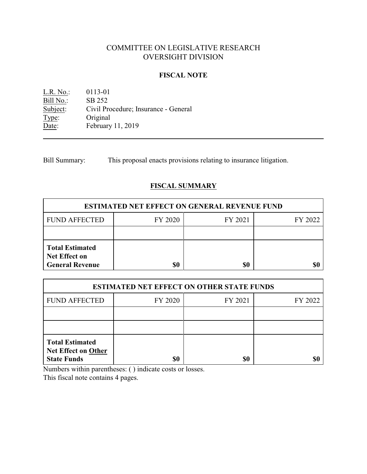# COMMITTEE ON LEGISLATIVE RESEARCH OVERSIGHT DIVISION

### **FISCAL NOTE**

L.R. No.: 0113-01 Bill No.: SB 252<br>Subject: Civil Pre Civil Procedure; Insurance - General Type: Original Date: February 11, 2019

Bill Summary: This proposal enacts provisions relating to insurance litigation.

# **FISCAL SUMMARY**

| <b>ESTIMATED NET EFFECT ON GENERAL REVENUE FUND</b>                      |         |         |         |  |
|--------------------------------------------------------------------------|---------|---------|---------|--|
| <b>FUND AFFECTED</b>                                                     | FY 2020 | FY 2021 | FY 2022 |  |
|                                                                          |         |         |         |  |
| <b>Total Estimated</b><br><b>Net Effect on</b><br><b>General Revenue</b> |         | \$0     |         |  |

| <b>ESTIMATED NET EFFECT ON OTHER STATE FUNDS</b>                           |         |         |         |  |
|----------------------------------------------------------------------------|---------|---------|---------|--|
| <b>FUND AFFECTED</b>                                                       | FY 2020 | FY 2021 | FY 2022 |  |
|                                                                            |         |         |         |  |
|                                                                            |         |         |         |  |
| <b>Total Estimated</b><br><b>Net Effect on Other</b><br><b>State Funds</b> | \$0     | \$0     |         |  |

Numbers within parentheses: ( ) indicate costs or losses.

This fiscal note contains 4 pages.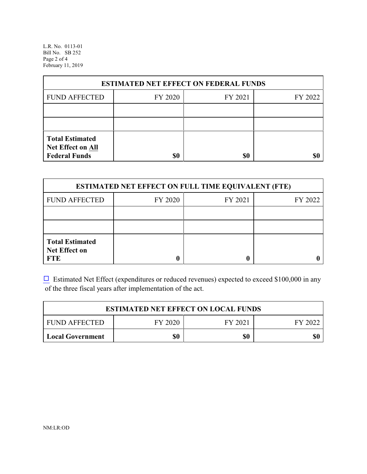L.R. No. 0113-01 Bill No. SB 252 Page 2 of 4 February 11, 2019

| <b>ESTIMATED NET EFFECT ON FEDERAL FUNDS</b>                        |         |         |         |  |
|---------------------------------------------------------------------|---------|---------|---------|--|
| <b>FUND AFFECTED</b>                                                | FY 2020 | FY 2021 | FY 2022 |  |
|                                                                     |         |         |         |  |
|                                                                     |         |         |         |  |
| <b>Total Estimated</b><br>Net Effect on All<br><b>Federal Funds</b> | \$0     | \$0     |         |  |

| <b>ESTIMATED NET EFFECT ON FULL TIME EQUIVALENT (FTE)</b>    |         |         |         |  |
|--------------------------------------------------------------|---------|---------|---------|--|
| <b>FUND AFFECTED</b>                                         | FY 2020 | FY 2021 | FY 2022 |  |
|                                                              |         |         |         |  |
|                                                              |         |         |         |  |
| <b>Total Estimated</b><br><b>Net Effect on</b><br><b>FTE</b> |         |         |         |  |

 $\Box$  Estimated Net Effect (expenditures or reduced revenues) expected to exceed \$100,000 in any of the three fiscal years after implementation of the act.

| <b>ESTIMATED NET EFFECT ON LOCAL FUNDS</b> |         |         |         |  |
|--------------------------------------------|---------|---------|---------|--|
| <b>FUND AFFECTED</b>                       | FY 2020 | FY 2021 | FY 2022 |  |
| Local Government                           | \$0     | \$0     | \$0     |  |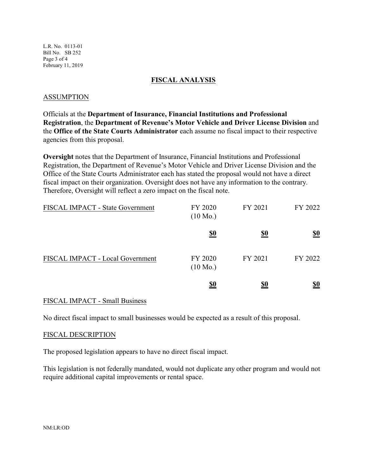L.R. No. 0113-01 Bill No. SB 252 Page 3 of 4 February 11, 2019

### **FISCAL ANALYSIS**

### ASSUMPTION

Officials at the **Department of Insurance, Financial Institutions and Professional Registration**, the **Department of Revenue's Motor Vehicle and Driver License Division** and the **Office of the State Courts Administrator** each assume no fiscal impact to their respective agencies from this proposal.

**Oversight** notes that the Department of Insurance, Financial Institutions and Professional Registration, the Department of Revenue's Motor Vehicle and Driver License Division and the Office of the State Courts Administrator each has stated the proposal would not have a direct fiscal impact on their organization. Oversight does not have any information to the contrary. Therefore, Oversight will reflect a zero impact on the fiscal note.

| FISCAL IMPACT - State Government | FY 2020<br>$(10 \text{ Mo.})$ | FY 2021    | FY 2022    |
|----------------------------------|-------------------------------|------------|------------|
|                                  | <u>\$0</u>                    | <u>\$0</u> | <u>\$0</u> |
| FISCAL IMPACT - Local Government | FY 2020<br>$(10 \text{ Mo.})$ | FY 2021    | FY 2022    |
|                                  | <u>\$0</u>                    | <u>\$0</u> | <u>\$0</u> |

### FISCAL IMPACT - Small Business

No direct fiscal impact to small businesses would be expected as a result of this proposal.

#### FISCAL DESCRIPTION

The proposed legislation appears to have no direct fiscal impact.

This legislation is not federally mandated, would not duplicate any other program and would not require additional capital improvements or rental space.